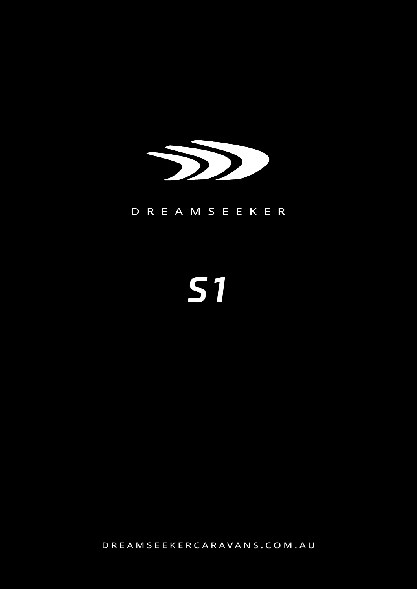

### D R E A M S E E K E R

# **S1**

DREAMSEEKERCARAVANS.COM.AU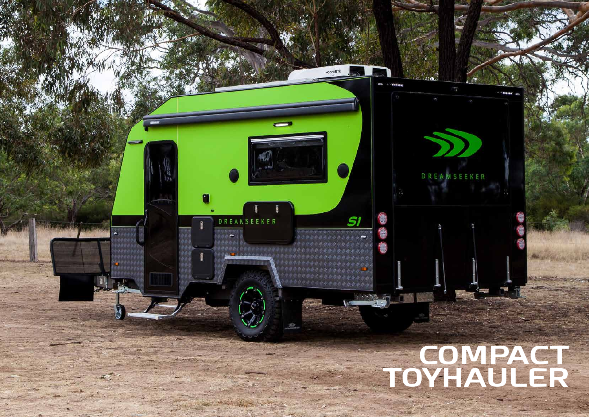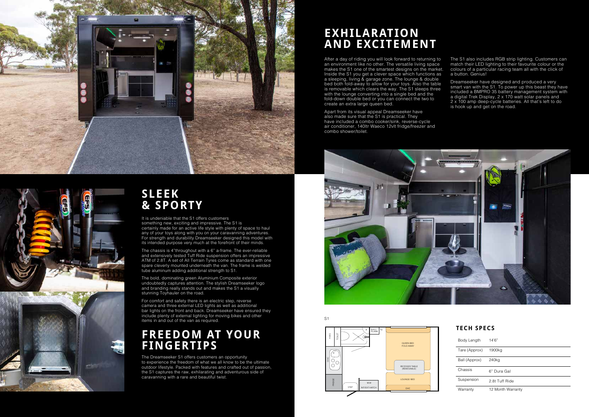

After a day of riding you will look forward to returning to an environment like no other. The versatile living space makes the S1 one of the smartest designs on the market. Inside the S1 you get a clever space which functions as a sleeping, living & garage zone. The lounge & double bed both fold-away to allow for your toys. Also the table is removable which clears the way. The S1 sleeps three with the lounge converting into a single bed and the fold-down double bed or you can connect the two to create an extra large queen bed.

Apart from its visual appeal Dreamseeker have also made sure that the S1 is practical. They have included a combo cooker/sink, reverse-cycle air conditioner, 140ltr Waeco 12vlt fridge/freezer and combo shower/toilet.



The S1 also includes RGB strip lighting. Customers can match their LED lighting to their favourite colour or the colours of a particular racing team all with the click of a button. Genius!

Dreamseeker have designed and produced a very smart van with the S1. To power up this beast they have included a BMPRO 35 battery management system with a digital Trek Display, 2 x 170 watt solar panels and 2 x 100 amp deep-cycle batteries. All that's left to do is hook up and get on the road.





# **SLEEK & SPORTY**

It is undeniable that the S1 offers customers something new, exciting and impressive. The S1 is certainly made for an active life style with plenty of space to haul any of your toys along with you on your caravanning adventures. For strength and durability Dreamseeker designed this model with its intended purpose very much at the forefront of their minds.

The chassis is 4"throughout with a 6" a-frame. The ever-reliable and extensively tested Tuff Ride suspension offers an impressive ATM of 2.8T. A set of All Terrain Tyres come as standard with one spare cleverly mounted underneath the van. The frame is welded tube aluminum adding additional strength to S1.

The bold, dominating green Aluminium Composite exterior undoubtedly captures attention. The stylish Dreamseeker logo and branding really stands out and makes the S1 a visually stunning Toyhauler on the road.

For comfort and safety there is an electric step, reverse camera and three external LED lights as well as additional bar lights on the front and back. Dreamseeker have ensured they include plenty of external lighting for moving bikes and other items in and out of the van as required.

# **FREEDOM AT YOUR FINGERTIPS**

The Dreamseeker S1 offers customers an opportunity to experience the freedom of what we all know to be the ultimate outdoor lifestyle. Packed with features and crafted out of passion, the S1 captures the raw, exhilarating and adventurous side of caravanning with a rare and beautiful twist.

# **EXHILARATION AND EXCITEMENT**

S1

#### **TECH SPECS**

| Body Length   | 14'6"             |
|---------------|-------------------|
| Tare (Approx) | 1900ka            |
| Ball (Approx) | 240 <sub>kg</sub> |
| Chassis       | 6" Dura Gal       |
| Suspension    | 2.8t Tuff Ride    |
| Warranty      | 12 Month Warranty |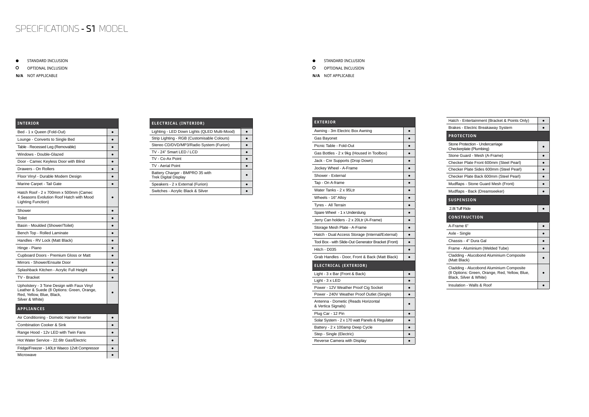| <b>INTERIOR</b>                                                                                                                          |  |
|------------------------------------------------------------------------------------------------------------------------------------------|--|
| Bed - 1 x Queen (Fold-Out)                                                                                                               |  |
| Lounge - Converts to Single Bed                                                                                                          |  |
| Table - Recessed Leg (Removable)                                                                                                         |  |
| Windows - Double-Glazed                                                                                                                  |  |
| Door - Camec Keyless Door with Blind                                                                                                     |  |
| Drawers - On Rollers                                                                                                                     |  |
| Floor Vinyl - Durable Modern Design                                                                                                      |  |
| Marine Carpet - Tail Gate                                                                                                                |  |
| Hatch Roof - 2 x 700mm x 500mm (Camec<br>4 Seasons Evolution Roof Hatch with Mood<br>Lighting Function)                                  |  |
| Shower                                                                                                                                   |  |
| Toilet                                                                                                                                   |  |
| Basin - Moulded (Shower/Toilet)                                                                                                          |  |
| Bench Top - Rolled Laminate                                                                                                              |  |
| Handles - RV Lock (Matt Black)                                                                                                           |  |
| Hinge - Piano                                                                                                                            |  |
| Cupboard Doors - Premium Gloss or Matt                                                                                                   |  |
| Mirrors - Shower/Ensuite Door                                                                                                            |  |
| Splashback Kitchen - Acrylic Full Height                                                                                                 |  |
| TV - Bracket                                                                                                                             |  |
| Upholstery - 3 Tone Design with Faux Vinyl<br>Leather & Suede (8 Options: Green, Orange,<br>Red, Yellow, Blue, Black,<br>Silver & White) |  |
| <b>APPLIANCES</b>                                                                                                                        |  |
| Air Conditioning - Dometic Harrier Inverter                                                                                              |  |
| <b>Combination Cooker &amp; Sink</b>                                                                                                     |  |
| Range Hood - 12v LED with Twin Fans                                                                                                      |  |
| Hot Water Service - 22.6ltr Gas/Electric                                                                                                 |  |
| Fridge/Freezer - 140Ltr Waeco 12vlt Compressor                                                                                           |  |

Microwave **Districts** and the set of  $\bullet$ 

## SPECIFICATIONS - S1 MODEL

STANDARD INCLUSION  $\bullet$ 

 $\circ$ OPTIONAL INCLUSION

#### **EXTERIOR** Awning - 3m Electric Box Awning ● Gas Bayonet **Access and Access and Access and Access and Access and Access and Access and Access and Access and A** Picnic Table - Fold-Out ● Gas Bottles -  $2 \times 9$ kg (Housed in Toolbox)  $\bullet$ Jack - Cnr Supports (Drop Down) ● Jockey Wheel - A-Frame  $\qquad \qquad$ Shower - External equation of the state of the state of the state of the state of the state of the state of the state of the state of the state of the state of the state of the state of the state of the state of the state  $\boxed{\phantom{a} \bullet \phantom{\,} \bullet}$ Water Tanks -  $2 \times 95$ Ltr  $\qquad \qquad \bullet$ Wheels - 16" Alloy **Alloy** Tyres - All Terrain **Business** Spare Wheel  $-1 \times$  Underslung  $\bullet$ Jerry Can holders -  $2 \times 20$ Ltr (A-Frame)  $\bullet$ Storage Mesh Plate - A-Frame **Blue A-Frame** Hatch - Dual Access Storage (Internal/External) | • Tool Box - with Slide-Out Generator Bracket (Front) ●  $Hitch - D035$   $\bullet$ Grab Handles - Door, Front & Back (Matt Black)  $\|\bullet\|$ **ELECTRICAL (EXTERIOR)** Light -  $3 \times$  Bar (Front & Back)  $\qquad \qquad$ Light -  $3 \times$  LED  $\qquad \qquad$ Power - 12V Weather Proof Cig Socket **•** Power - 240V Weather Proof Outlet (Single) ● Antenna - Dometic (Reads Horizontal & Vertica Signals) ● Plug Car - 12 Pin **and 2** Solar System -  $2 \times 170$  watt Panels & Regulator  $\begin{array}{|c|c|} \hline \bullet & \bullet \end{array}$ Battery - 2 x 100amp Deep Cycle **Battery - 2 x 100amp Deep Cycle** Step - Single (Electric) ● Reverse Camera with Display **Blue Accord Accord Accord Accord Accord Accord Accord Accord Accord Accord Accord**

| <b>ELECTRICAL (INTERIOR)</b>                                   |  |
|----------------------------------------------------------------|--|
| Lighting - LED Down Lights (QLED Multi-Mood)                   |  |
| Strip Lighting - RGB (Customisable Colours)                    |  |
| Stereo CD/DVD/MP3/Radio System (Furion)                        |  |
| TV - 24" Smart LED / LCD                                       |  |
| TV - Co-Ax Point                                               |  |
| <b>TV - Aerial Point</b>                                       |  |
| Battery Charger - BMPRO 35 with<br><b>Trek Digital Display</b> |  |
| Speakers - 2 x External (Furion)                               |  |
| Switches - Acrylic Black & Silver                              |  |

**N/A** NOT APPLICABLE

#### STANDARD INCLUSION  $\bullet$

 $\circ$ OPTIONAL INCLUSION

| Hatch - Entertainment (Bracket & Points Only)                                                                       |  |
|---------------------------------------------------------------------------------------------------------------------|--|
| Brakes - Electric Breakaway System                                                                                  |  |
| <b>PROTECTION</b>                                                                                                   |  |
| Stone Protection - Undercarriage<br>Checkerplate (Plumbing)                                                         |  |
| Stone Guard - Mesh (A-Frame)                                                                                        |  |
| Checker Plate Front 600mm (Steel Pearl)                                                                             |  |
| Checker Plate Sides 600mm (Steel Pearl)                                                                             |  |
| Checker Plate Back 600mm (Steel Pearl)                                                                              |  |
| Mudflaps - Stone Guard Mesh (Front)                                                                                 |  |
| Mudflaps - Back (Dreamseeker)                                                                                       |  |
| <b>SUSPENSION</b>                                                                                                   |  |
|                                                                                                                     |  |
| 2.8t Tuff Ride                                                                                                      |  |
| <b>CONSTRUCTION</b>                                                                                                 |  |
| A-Frame 6"                                                                                                          |  |
| Axle - Single                                                                                                       |  |
| Chassis - 4" Dura Gal                                                                                               |  |
| Frame - Aluminium (Welded Tube)                                                                                     |  |
| Cladding - Alucobond Aluminium Composite<br>(Matt Black)                                                            |  |
| Cladding - Alucobond Aluminium Composite<br>(8 Options: Green, Orange, Red, Yellow, Blue,<br>Black, Silver & White) |  |

**N/A** NOT APPLICABLE